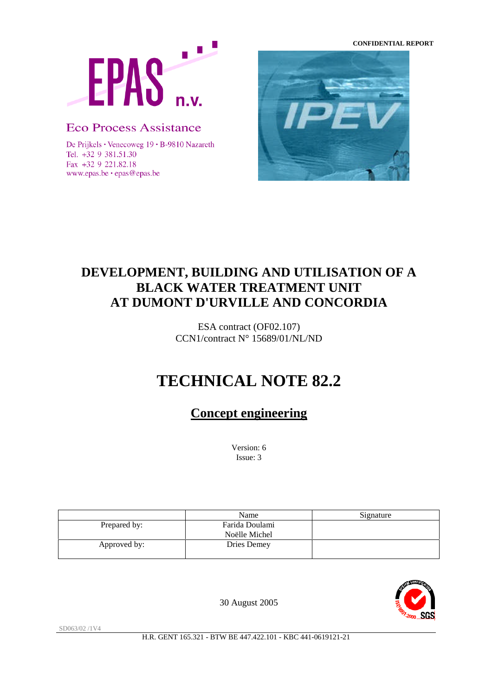**CONFIDENTIAL REPORT**



# **Eco Process Assistance**

De Prijkels • Venecoweg 19 • B-9810 Nazareth Tel. +32 9 381.51.30 Fax +32 9 221.82.18 www.epas.be · epas@epas.be



# **DEVELOPMENT, BUILDING AND UTILISATION OF A BLACK WATER TREATMENT UNIT AT DUMONT D'URVILLE AND CONCORDIA**

ESA contract (OF02.107) CCN1/contract N° 15689/01/NL/ND

# **TECHNICAL NOTE 82.2**

**Concept engineering**

Version: 6 Issue: 3

|              | Name           | Signature |
|--------------|----------------|-----------|
| Prepared by: | Farida Doulami |           |
|              | Noëlle Michel  |           |
| Approved by: | Dries Demey    |           |



30 August 2005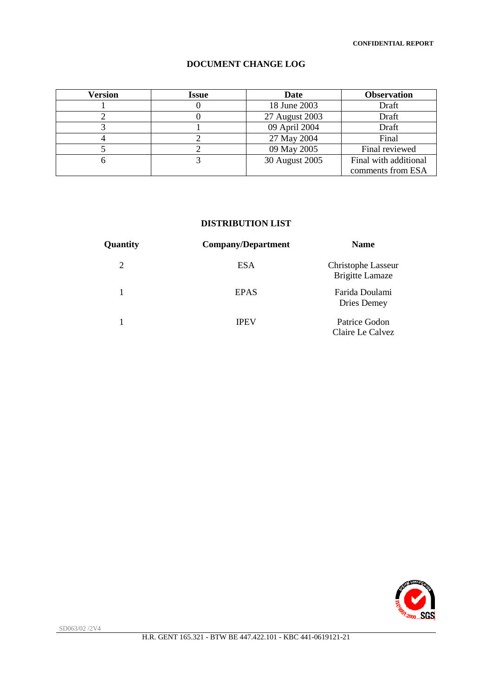| Version | <b>Issue</b> | Date           | <b>Observation</b>    |
|---------|--------------|----------------|-----------------------|
|         |              | 18 June 2003   | Draft                 |
|         |              | 27 August 2003 | Draft                 |
|         |              | 09 April 2004  | Draft                 |
|         |              | 27 May 2004    | Final                 |
|         |              | 09 May 2005    | Final reviewed        |
|         |              | 30 August 2005 | Final with additional |
|         |              |                | comments from ESA     |

### **DOCUMENT CHANGE LOG**

#### **DISTRIBUTION LIST**

| Quantity | <b>Company/Department</b> | <b>Name</b>                                  |  |  |
|----------|---------------------------|----------------------------------------------|--|--|
| 2        | <b>ESA</b>                | Christophe Lasseur<br><b>Brigitte Lamaze</b> |  |  |
|          | <b>EPAS</b>               | Farida Doulami<br>Dries Demey                |  |  |
|          | <b>IPEV</b>               | Patrice Godon<br>Claire Le Calvez            |  |  |

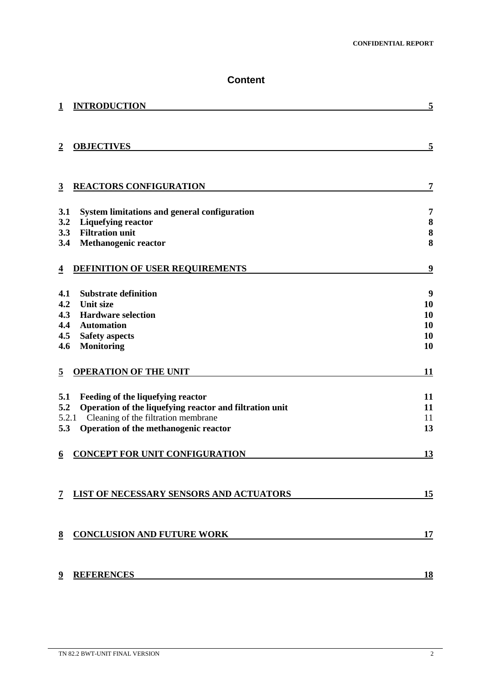# **Content**

|                | <b>INTRODUCTION</b>                                     | 5         |
|----------------|---------------------------------------------------------|-----------|
| $\overline{2}$ | <b>OBJECTIVES</b>                                       | 5         |
| 3              | <b>REACTORS CONFIGURATION</b>                           | 7         |
| 3.1            | <b>System limitations and general configuration</b>     | 7         |
| 3.2            | <b>Liquefying reactor</b>                               | 8         |
| 3.3            | <b>Filtration unit</b>                                  | 8         |
| 3.4            | <b>Methanogenic reactor</b>                             | 8         |
| $\overline{4}$ | <b>DEFINITION OF USER REQUIREMENTS</b>                  | 9         |
| 4.1            | <b>Substrate definition</b>                             | 9         |
| 4.2            | <b>Unit size</b>                                        | 10        |
| 4.3            | <b>Hardware selection</b>                               | 10        |
| 4.4            | <b>Automation</b>                                       | 10        |
| 4.5            | <b>Safety aspects</b>                                   | 10        |
| 4.6            | Monitoring                                              | 10        |
| 5              | <b>OPERATION OF THE UNIT</b>                            | 11        |
| 5.1            | Feeding of the liquefying reactor                       | 11        |
| 5.2            | Operation of the liquefying reactor and filtration unit | 11        |
|                | Cleaning of the filtration membrane<br>5.2.1            | 11        |
| 5.3            | Operation of the methanogenic reactor                   | 13        |
| 6              | <b>CONCEPT FOR UNIT CONFIGURATION</b>                   | <u>13</u> |
| 7              | LIST OF NECESSARY SENSORS AND ACTUATORS                 | 15        |
| 8              | <b>CONCLUSION AND FUTURE WORK</b>                       | 17        |
|                | <b>REFERENCES</b>                                       | 18        |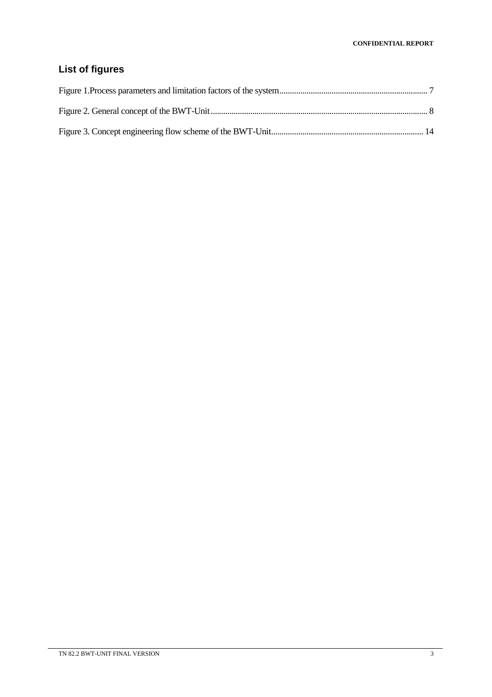# **List of figures**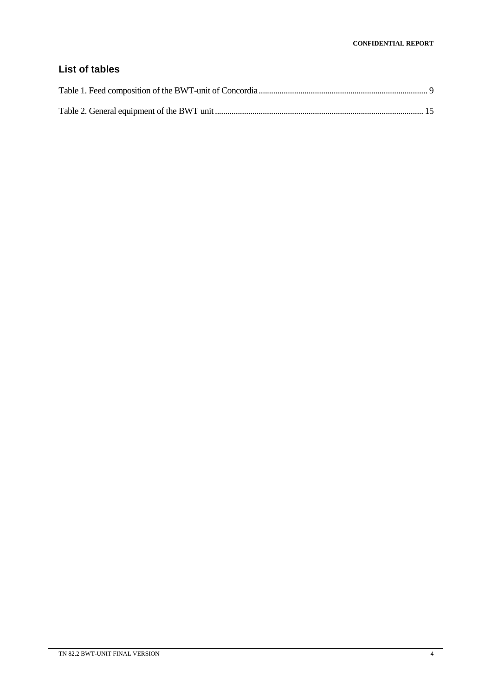# **List of tables**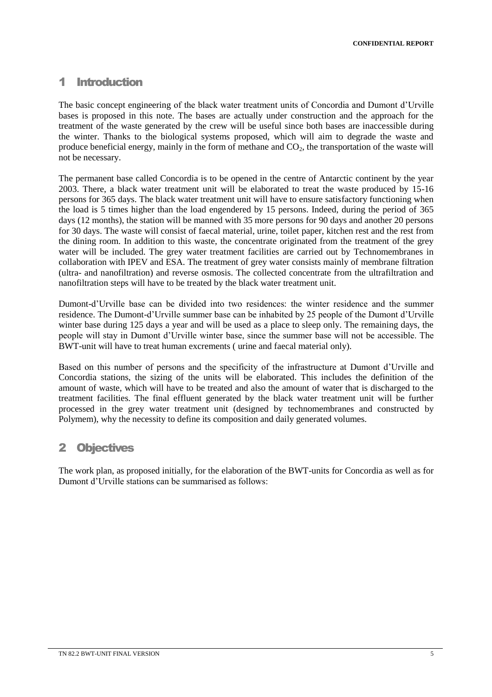### 1 Introduction

The basic concept engineering of the black water treatment units of Concordia and Dumont d'Urville bases is proposed in this note. The bases are actually under construction and the approach for the treatment of the waste generated by the crew will be useful since both bases are inaccessible during the winter. Thanks to the biological systems proposed, which will aim to degrade the waste and produce beneficial energy, mainly in the form of methane and  $CO<sub>2</sub>$ , the transportation of the waste will not be necessary.

The permanent base called Concordia is to be opened in the centre of Antarctic continent by the year 2003. There, a black water treatment unit will be elaborated to treat the waste produced by 15-16 persons for 365 days. The black water treatment unit will have to ensure satisfactory functioning when the load is 5 times higher than the load engendered by 15 persons. Indeed, during the period of 365 days (12 months), the station will be manned with 35 more persons for 90 days and another 20 persons for 30 days. The waste will consist of faecal material, urine, toilet paper, kitchen rest and the rest from the dining room. In addition to this waste, the concentrate originated from the treatment of the grey water will be included. The grey water treatment facilities are carried out by Technomembranes in collaboration with IPEV and ESA. The treatment of grey water consists mainly of membrane filtration (ultra- and nanofiltration) and reverse osmosis. The collected concentrate from the ultrafiltration and nanofiltration steps will have to be treated by the black water treatment unit.

Dumont-d'Urville base can be divided into two residences: the winter residence and the summer residence. The Dumont-d'Urville summer base can be inhabited by 25 people of the Dumont d'Urville winter base during 125 days a year and will be used as a place to sleep only. The remaining days, the people will stay in Dumont d'Urville winter base, since the summer base will not be accessible. The BWT-unit will have to treat human excrements ( urine and faecal material only).

Based on this number of persons and the specificity of the infrastructure at Dumont d'Urville and Concordia stations, the sizing of the units will be elaborated. This includes the definition of the amount of waste, which will have to be treated and also the amount of water that is discharged to the treatment facilities. The final effluent generated by the black water treatment unit will be further processed in the grey water treatment unit (designed by technomembranes and constructed by Polymem), why the necessity to define its composition and daily generated volumes.

# 2 Objectives

The work plan, as proposed initially, for the elaboration of the BWT-units for Concordia as well as for Dumont d'Urville stations can be summarised as follows: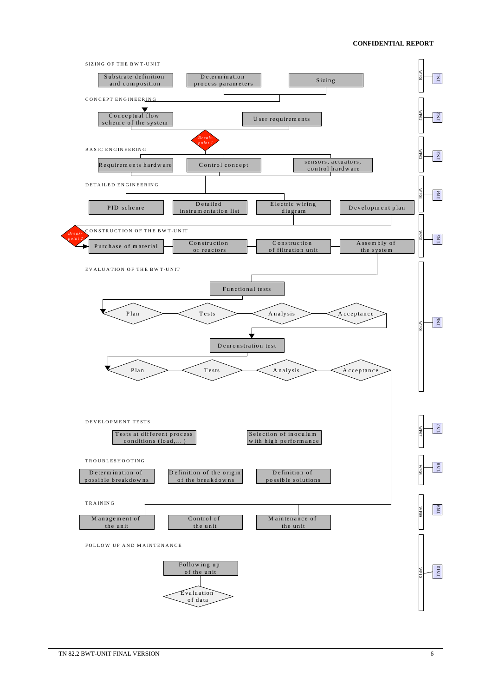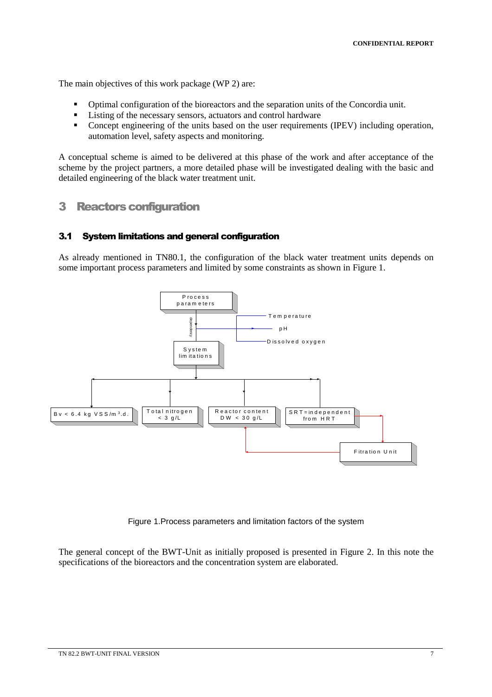The main objectives of this work package (WP 2) are:

- Optimal configuration of the bioreactors and the separation units of the Concordia unit.
- **Listing of the necessary sensors, actuators and control hardware**
- Concept engineering of the units based on the user requirements (IPEV) including operation, automation level, safety aspects and monitoring.

A conceptual scheme is aimed to be delivered at this phase of the work and after acceptance of the scheme by the project partners, a more detailed phase will be investigated dealing with the basic and detailed engineering of the black water treatment unit.

### 3 Reactors configuration

#### 3.1 System limitations and general configuration

As already mentioned in TN80.1, the configuration of the black water treatment units depends on some important process parameters and limited by some constraints as shown in Figure 1.



Figure 1.Process parameters and limitation factors of the system

The general concept of the BWT-Unit as initially proposed is presented in Figure 2. In this note the specifications of the bioreactors and the concentration system are elaborated.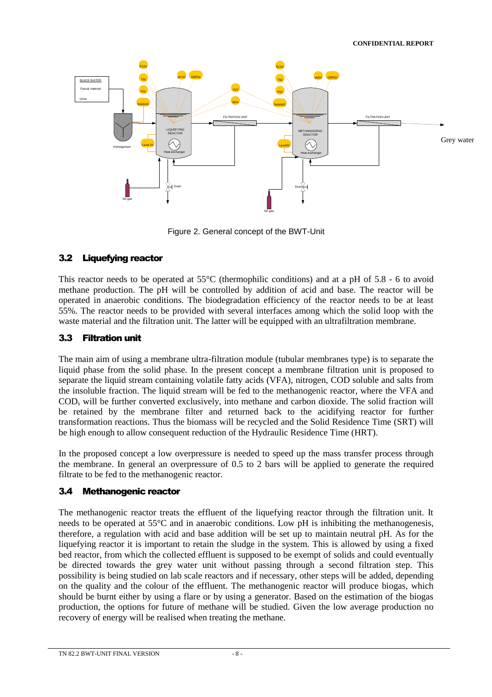

Figure 2. General concept of the BWT-Unit

### 3.2 Liquefying reactor

This reactor needs to be operated at  $55^{\circ}$ C (thermophilic conditions) and at a pH of  $5.8 \div 6$  to avoid methane production. The pH will be controlled by addition of acid and base. The reactor will be operated in anaerobic conditions. The biodegradation efficiency of the reactor needs to be at least 55%. The reactor needs to be provided with several interfaces among which the solid loop with the waste material and the filtration unit. The latter will be equipped with an ultrafiltration membrane.

### 3.3 Filtration unit

The main aim of using a membrane ultra-filtration module (tubular membranes type) is to separate the liquid phase from the solid phase. In the present concept a membrane filtration unit is proposed to separate the liquid stream containing volatile fatty acids (VFA), nitrogen, COD soluble and salts from the insoluble fraction. The liquid stream will be fed to the methanogenic reactor, where the VFA and COD<sup>s</sup> will be further converted exclusively, into methane and carbon dioxide. The solid fraction will be retained by the membrane filter and returned back to the acidifying reactor for further transformation reactions. Thus the biomass will be recycled and the Solid Residence Time (SRT) will be high enough to allow consequent reduction of the Hydraulic Residence Time (HRT).

In the proposed concept a low overpressure is needed to speed up the mass transfer process through the membrane. In general an overpressure of 0.5 to 2 bars will be applied to generate the required filtrate to be fed to the methanogenic reactor.

### 3.4 Methanogenic reactor

The methanogenic reactor treats the effluent of the liquefying reactor through the filtration unit. It needs to be operated at 55°C and in anaerobic conditions. Low pH is inhibiting the methanogenesis, therefore, a regulation with acid and base addition will be set up to maintain neutral pH. As for the liquefying reactor it is important to retain the sludge in the system. This is allowed by using a fixed bed reactor, from which the collected effluent is supposed to be exempt of solids and could eventually be directed towards the grey water unit without passing through a second filtration step. This possibility is being studied on lab scale reactors and if necessary, other steps will be added, depending on the quality and the colour of the effluent. The methanogenic reactor will produce biogas, which should be burnt either by using a flare or by using a generator. Based on the estimation of the biogas production, the options for future of methane will be studied. Given the low average production no recovery of energy will be realised when treating the methane.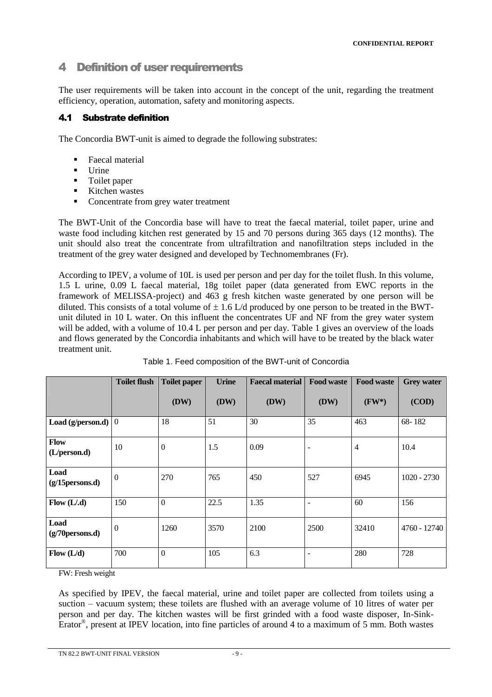# 4 Definition of user requirements

The user requirements will be taken into account in the concept of the unit, regarding the treatment efficiency, operation, automation, safety and monitoring aspects.

### 4.1 Substrate definition

The Concordia BWT-unit is aimed to degrade the following substrates:

- **Faecal material**
- $\blacksquare$  Urine
- Toilet paper
- **Kitchen wastes**
- Concentrate from grey water treatment

The BWT-Unit of the Concordia base will have to treat the faecal material, toilet paper, urine and waste food including kitchen rest generated by 15 and 70 persons during 365 days (12 months). The unit should also treat the concentrate from ultrafiltration and nanofiltration steps included in the treatment of the grey water designed and developed by Technomembranes (Fr).

According to IPEV, a volume of 10L is used per person and per day for the toilet flush. In this volume, 1.5 L urine, 0.09 L faecal material, 18g toilet paper (data generated from EWC reports in the framework of MELISSA-project) and 463 g fresh kitchen waste generated by one person will be diluted. This consists of a total volume of  $\pm$  1.6 L/d produced by one person to be treated in the BWTunit diluted in 10 L water. On this influent the concentrates UF and NF from the grey water system will be added, with a volume of 10.4 L per person and per day. Table 1 gives an overview of the loads and flows generated by the Concordia inhabitants and which will have to be treated by the black water treatment unit.

|                             | <b>Toilet flush</b> | <b>Toilet paper</b> | <b>Urine</b> | <b>Faecal material</b> | <b>Food waste</b> | <b>Food waste</b> | <b>Grey water</b> |
|-----------------------------|---------------------|---------------------|--------------|------------------------|-------------------|-------------------|-------------------|
|                             |                     | (DW)                | (DW)         | (DW)                   | (DW)              | $(FW^*)$          | (COD)             |
| Load (g/person.d)           | $\mathbf{0}$        | 18                  | 51           | 30                     | 35                | 463               | 68-182            |
| Flow<br>(L/person.d)        | 10                  | $\overline{0}$      | 1.5          | 0.09                   |                   | $\overline{4}$    | 10.4              |
| Load<br>$(g/15$ persons.d)  | $\overline{0}$      | 270                 | 765          | 450                    | 527               | 6945              | $1020 - 2730$     |
| Flow (L/.d)                 | 150                 | $\overline{0}$      | 22.5         | 1.35                   |                   | 60                | 156               |
| Load<br>$(g/70)$ persons.d) | $\overline{0}$      | 1260                | 3570         | 2100                   | 2500              | 32410             | 4760 - 12740      |
| Flow (L/d)                  | 700                 | $\boldsymbol{0}$    | 105          | 6.3                    |                   | 280               | 728               |

Table 1. Feed composition of the BWT-unit of Concordia

FW: Fresh weight

As specified by IPEV, the faecal material, urine and toilet paper are collected from toilets using a suction – vacuum system; these toilets are flushed with an average volume of 10 litres of water per person and per day. The kitchen wastes will be first grinded with a food waste disposer, In-Sink-Erator® , present at IPEV location, into fine particles of around 4 to a maximum of 5 mm. Both wastes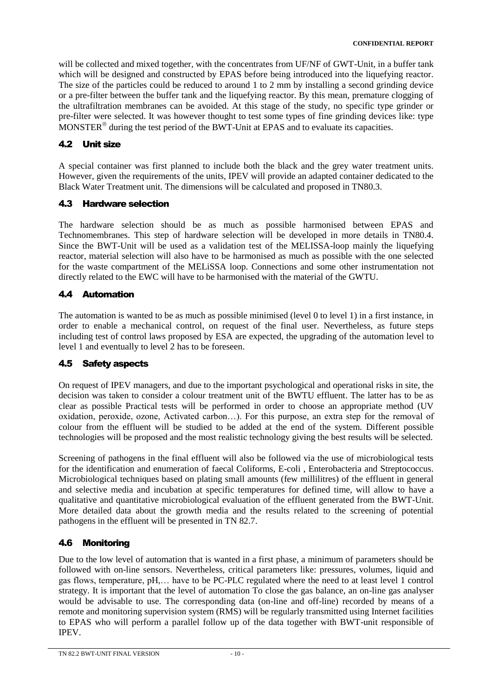will be collected and mixed together, with the concentrates from UF/NF of GWT-Unit, in a buffer tank which will be designed and constructed by EPAS before being introduced into the liquefying reactor. The size of the particles could be reduced to around 1 to 2 mm by installing a second grinding device or a pre-filter between the buffer tank and the liquefying reactor. By this mean, premature clogging of the ultrafiltration membranes can be avoided. At this stage of the study, no specific type grinder or pre-filter were selected. It was however thought to test some types of fine grinding devices like: type  $MONSTER^{\circledcirc}$  during the test period of the BWT-Unit at EPAS and to evaluate its capacities.

# 4.2 Unit size

A special container was first planned to include both the black and the grey water treatment units. However, given the requirements of the units, IPEV will provide an adapted container dedicated to the Black Water Treatment unit. The dimensions will be calculated and proposed in TN80.3.

### 4.3 Hardware selection

The hardware selection should be as much as possible harmonised between EPAS and Technomembranes. This step of hardware selection will be developed in more details in TN80.4. Since the BWT-Unit will be used as a validation test of the MELISSA-loop mainly the liquefying reactor, material selection will also have to be harmonised as much as possible with the one selected for the waste compartment of the MELiSSA loop. Connections and some other instrumentation not directly related to the EWC will have to be harmonised with the material of the GWTU.

### 4.4 Automation

The automation is wanted to be as much as possible minimised (level 0 to level 1) in a first instance, in order to enable a mechanical control, on request of the final user. Nevertheless, as future steps including test of control laws proposed by ESA are expected, the upgrading of the automation level to level 1 and eventually to level 2 has to be foreseen.

### 4.5 Safety aspects

On request of IPEV managers, and due to the important psychological and operational risks in site, the decision was taken to consider a colour treatment unit of the BWTU effluent. The latter has to be as clear as possible Practical tests will be performed in order to choose an appropriate method (UV oxidation, peroxide, ozone, Activated carbon...). For this purpose, an extra step for the removal of colour from the effluent will be studied to be added at the end of the system. Different possible technologies will be proposed and the most realistic technology giving the best results will be selected.

Screening of pathogens in the final effluent will also be followed via the use of microbiological tests for the identification and enumeration of faecal Coliforms, E-coli , Enterobacteria and Streptococcus. Microbiological techniques based on plating small amounts (few millilitres) of the effluent in general and selective media and incubation at specific temperatures for defined time, will allow to have a qualitative and quantitative microbiological evaluation of the effluent generated from the BWT-Unit. More detailed data about the growth media and the results related to the screening of potential pathogens in the effluent will be presented in TN 82.7.

# 4.6 Monitoring

Due to the low level of automation that is wanted in a first phase, a minimum of parameters should be followed with on-line sensors. Nevertheless, critical parameters like: pressures, volumes, liquid and gas flows, temperature, pH,... have to be PC-PLC regulated where the need to at least level 1 control strategy. It is important that the level of automation To close the gas balance, an on-line gas analyser would be advisable to use. The corresponding data (on-line and off-line) recorded by means of a remote and monitoring supervision system (RMS) will be regularly transmitted using Internet facilities to EPAS who will perform a parallel follow up of the data together with BWT-unit responsible of IPEV.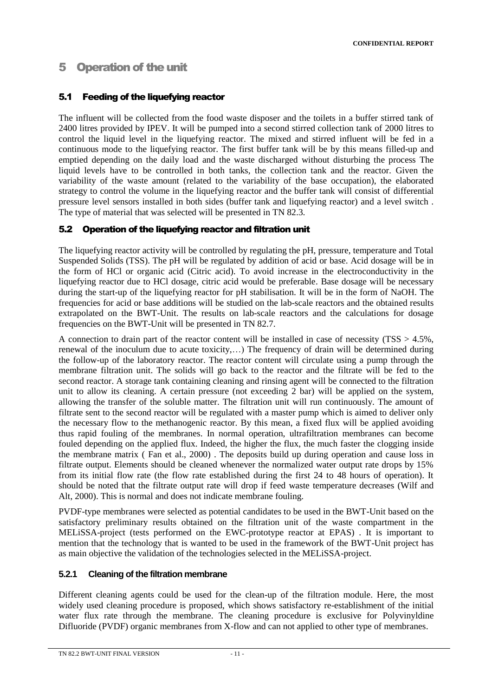# 5 Operation of the unit

### 5.1 Feeding of the liquefying reactor

The influent will be collected from the food waste disposer and the toilets in a buffer stirred tank of 2400 litres provided by IPEV. It will be pumped into a second stirred collection tank of 2000 litres to control the liquid level in the liquefying reactor. The mixed and stirred influent will be fed in a continuous mode to the liquefying reactor. The first buffer tank will be by this means filled-up and emptied depending on the daily load and the waste discharged without disturbing the process The liquid levels have to be controlled in both tanks, the collection tank and the reactor. Given the variability of the waste amount (related to the variability of the base occupation), the elaborated strategy to control the volume in the liquefying reactor and the buffer tank will consist of differential pressure level sensors installed in both sides (buffer tank and liquefying reactor) and a level switch . The type of material that was selected will be presented in TN 82.3.

### 5.2 Operation of the liquefying reactor and filtration unit

The liquefying reactor activity will be controlled by regulating the pH, pressure, temperature and Total Suspended Solids (TSS). The pH will be regulated by addition of acid or base. Acid dosage will be in the form of HCl or organic acid (Citric acid). To avoid increase in the electroconductivity in the liquefying reactor due to HCl dosage, citric acid would be preferable. Base dosage will be necessary during the start-up of the liquefying reactor for pH stabilisation. It will be in the form of NaOH. The frequencies for acid or base additions will be studied on the lab-scale reactors and the obtained results extrapolated on the BWT-Unit. The results on lab-scale reactors and the calculations for dosage frequencies on the BWT-Unit will be presented in TN 82.7.

A connection to drain part of the reactor content will be installed in case of necessity (TSS > 4.5%, renewal of the inoculum due to acute toxicity,...) The frequency of drain will be determined during the follow-up of the laboratory reactor. The reactor content will circulate using a pump through the membrane filtration unit. The solids will go back to the reactor and the filtrate will be fed to the second reactor. A storage tank containing cleaning and rinsing agent will be connected to the filtration unit to allow its cleaning. A certain pressure (not exceeding 2 bar) will be applied on the system, allowing the transfer of the soluble matter. The filtration unit will run continuously. The amount of filtrate sent to the second reactor will be regulated with a master pump which is aimed to deliver only the necessary flow to the methanogenic reactor. By this mean, a fixed flux will be applied avoiding thus rapid fouling of the membranes. In normal operation, ultrafiltration membranes can become fouled depending on the applied flux. Indeed, the higher the flux, the much faster the clogging inside the membrane matrix ( Fan et al., 2000) . The deposits build up during operation and cause loss in filtrate output. Elements should be cleaned whenever the normalized water output rate drops by 15% from its initial flow rate (the flow rate established during the first 24 to 48 hours of operation). It should be noted that the filtrate output rate will drop if feed waste temperature decreases (Wilf and Alt, 2000). This is normal and does not indicate membrane fouling.

PVDF-type membranes were selected as potential candidates to be used in the BWT-Unit based on the satisfactory preliminary results obtained on the filtration unit of the waste compartment in the MELiSSA-project (tests performed on the EWC-prototype reactor at EPAS) . It is important to mention that the technology that is wanted to be used in the framework of the BWT-Unit project has as main objective the validation of the technologies selected in the MELiSSA-project.

### **5.2.1 Cleaning of the filtration membrane**

Different cleaning agents could be used for the clean-up of the filtration module. Here, the most widely used cleaning procedure is proposed, which shows satisfactory re-establishment of the initial water flux rate through the membrane. The cleaning procedure is exclusive for Polyvinyldine Difluoride (PVDF) organic membranes from X-flow and can not applied to other type of membranes.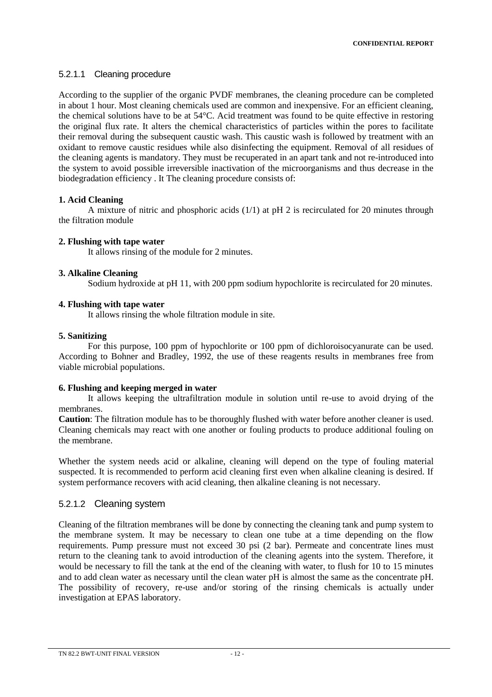### 5.2.1.1 Cleaning procedure

According to the supplier of the organic PVDF membranes, the cleaning procedure can be completed in about 1 hour. Most cleaning chemicals used are common and inexpensive. For an efficient cleaning, the chemical solutions have to be at 54°C. Acid treatment was found to be quite effective in restoring the original flux rate. It alters the chemical characteristics of particles within the pores to facilitate their removal during the subsequent caustic wash. This caustic wash is followed by treatment with an oxidant to remove caustic residues while also disinfecting the equipment. Removal of all residues of the cleaning agents is mandatory. They must be recuperated in an apart tank and not re-introduced into the system to avoid possible irreversible inactivation of the microorganisms and thus decrease in the biodegradation efficiency . It The cleaning procedure consists of:

### **1. Acid Cleaning**

A mixture of nitric and phosphoric acids  $(1/1)$  at pH 2 is recirculated for 20 minutes through the filtration module

#### **2. Flushing with tape water**

It allows rinsing of the module for 2 minutes.

#### **3. Alkaline Cleaning**

Sodium hydroxide at pH 11, with 200 ppm sodium hypochlorite is recirculated for 20 minutes.

#### **4. Flushing with tape water**

It allows rinsing the whole filtration module in site.

#### **5. Sanitizing**

For this purpose, 100 ppm of hypochlorite or 100 ppm of dichloroisocyanurate can be used. According to Bohner and Bradley, 1992, the use of these reagents results in membranes free from viable microbial populations.

#### **6. Flushing and keeping merged in water**

It allows keeping the ultrafiltration module in solution until re-use to avoid drying of the membranes.

**Caution**: The filtration module has to be thoroughly flushed with water before another cleaner is used. Cleaning chemicals may react with one another or fouling products to produce additional fouling on the membrane.

Whether the system needs acid or alkaline, cleaning will depend on the type of fouling material suspected. It is recommended to perform acid cleaning first even when alkaline cleaning is desired. If system performance recovers with acid cleaning, then alkaline cleaning is not necessary.

### 5.2.1.2 Cleaning system

Cleaning of the filtration membranes will be done by connecting the cleaning tank and pump system to the membrane system. It may be necessary to clean one tube at a time depending on the flow requirements. Pump pressure must not exceed 30 psi (2 bar). Permeate and concentrate lines must return to the cleaning tank to avoid introduction of the cleaning agents into the system. Therefore, it would be necessary to fill the tank at the end of the cleaning with water, to flush for 10 to 15 minutes and to add clean water as necessary until the clean water pH is almost the same as the concentrate pH. The possibility of recovery, re-use and/or storing of the rinsing chemicals is actually under investigation at EPAS laboratory.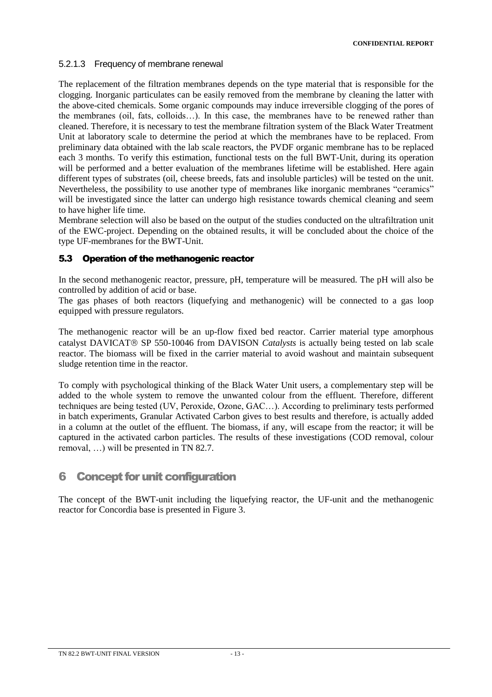### 5.2.1.3 Frequency of membrane renewal

The replacement of the filtration membranes depends on the type material that is responsible for the clogging. Inorganic particulates can be easily removed from the membrane by cleaning the latter with the above-cited chemicals. Some organic compounds may induce irreversible clogging of the pores of the membranes (oil, fats, colloids...). In this case, the membranes have to be renewed rather than cleaned. Therefore, it is necessary to test the membrane filtration system of the Black Water Treatment Unit at laboratory scale to determine the period at which the membranes have to be replaced. From preliminary data obtained with the lab scale reactors, the PVDF organic membrane has to be replaced each 3 months. To verify this estimation, functional tests on the full BWT-Unit, during its operation will be performed and a better evaluation of the membranes lifetime will be established. Here again different types of substrates (oil, cheese breeds, fats and insoluble particles) will be tested on the unit. Nevertheless, the possibility to use another type of membranes like inorganic membranes "ceramics" will be investigated since the latter can undergo high resistance towards chemical cleaning and seem to have higher life time.

Membrane selection will also be based on the output of the studies conducted on the ultrafiltration unit of the EWC-project. Depending on the obtained results, it will be concluded about the choice of the type UF-membranes for the BWT-Unit.

### 5.3 Operation of the methanogenic reactor

In the second methanogenic reactor, pressure, pH, temperature will be measured. The pH will also be controlled by addition of acid or base.

The gas phases of both reactors (liquefying and methanogenic) will be connected to a gas loop equipped with pressure regulators.

The methanogenic reactor will be an up-flow fixed bed reactor. Carrier material type amorphous catalyst DAVICAT<sup>®</sup> SP 550-10046 from DAVISON *Catalysts* is actually being tested on lab scale reactor. The biomass will be fixed in the carrier material to avoid washout and maintain subsequent sludge retention time in the reactor.

To comply with psychological thinking of the Black Water Unit users, a complementary step will be added to the whole system to remove the unwanted colour from the effluent. Therefore, different techniques are being tested (UV, Peroxide, Ozone,  $GAC...$ ). According to preliminary tests performed in batch experiments, Granular Activated Carbon gives to best results and therefore, is actually added in a column at the outlet of the effluent. The biomass, if any, will escape from the reactor; it will be captured in the activated carbon particles. The results of these investigations (COD removal, colour removal, ...) will be presented in TN 82.7.

# 6 Concept for unit configuration

The concept of the BWT-unit including the liquefying reactor, the UF-unit and the methanogenic reactor for Concordia base is presented in Figure 3.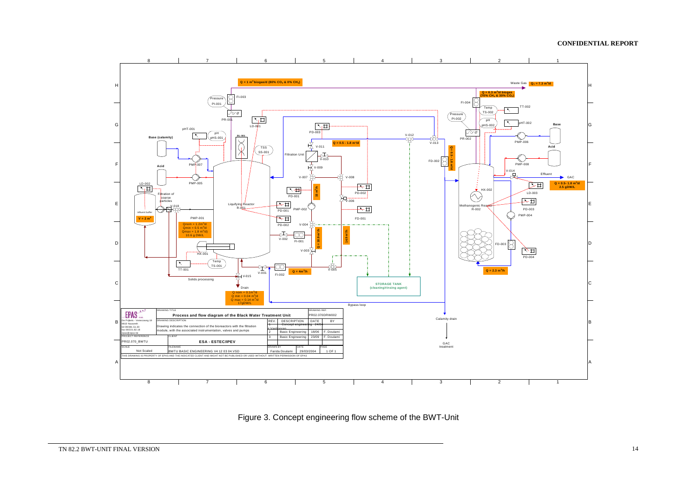

Figure 3. Concept engineering flow scheme of the BWT-Unit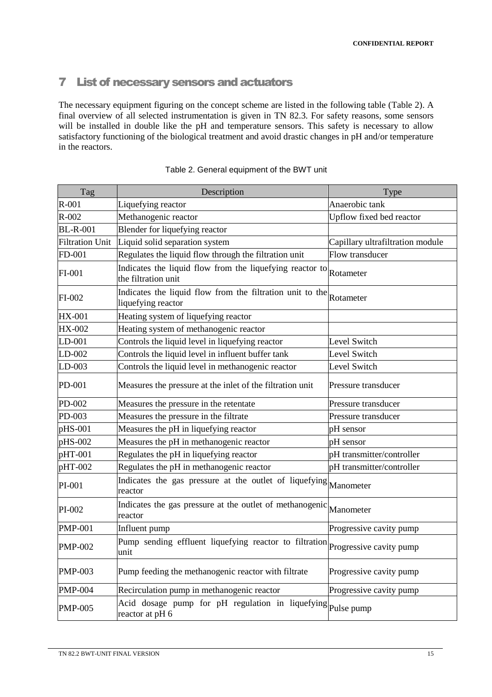# 7 List of necessary sensors and actuators

The necessary equipment figuring on the concept scheme are listed in the following table (Table 2). A final overview of all selected instrumentation is given in TN 82.3. For safety reasons, some sensors will be installed in double like the pH and temperature sensors. This safety is necessary to allow satisfactory functioning of the biological treatment and avoid drastic changes in pH and/or temperature in the reactors.

| Tag                    | Description                                                                                | Type                             |
|------------------------|--------------------------------------------------------------------------------------------|----------------------------------|
| $R-001$                | Liquefying reactor                                                                         | Anaerobic tank                   |
| $R-002$                | Methanogenic reactor                                                                       | Upflow fixed bed reactor         |
| <b>BL-R-001</b>        | Blender for liquefying reactor                                                             |                                  |
| <b>Filtration Unit</b> | Liquid solid separation system                                                             | Capillary ultrafiltration module |
| FD-001                 | Regulates the liquid flow through the filtration unit                                      | Flow transducer                  |
| FI-001                 | Indicates the liquid flow from the liquefying reactor to Rotameter<br>the filtration unit  |                                  |
| FI-002                 | Indicates the liquid flow from the filtration unit to the Rotameter<br>liquefying reactor  |                                  |
| <b>HX-001</b>          | Heating system of liquefying reactor                                                       |                                  |
| <b>HX-002</b>          | Heating system of methanogenic reactor                                                     |                                  |
| $LD-001$               | Controls the liquid level in liquefying reactor                                            | Level Switch                     |
| $LD-002$               | Controls the liquid level in influent buffer tank                                          | Level Switch                     |
| $LD-003$               | Controls the liquid level in methanogenic reactor                                          | Level Switch                     |
| PD-001                 | Measures the pressure at the inlet of the filtration unit                                  | Pressure transducer              |
| PD-002                 | Measures the pressure in the retentate                                                     | Pressure transducer              |
| PD-003                 | Measures the pressure in the filtrate                                                      | Pressure transducer              |
| $p$ HS-001             | Measures the pH in liquefying reactor                                                      | pH sensor                        |
| pHS-002                | Measures the pH in methanogenic reactor                                                    | pH sensor                        |
| $pHT-001$              | Regulates the pH in liquefying reactor                                                     | pH transmitter/controller        |
| pHT-002                | Regulates the pH in methanogenic reactor                                                   | pH transmitter/controller        |
| PI-001                 | Indicates the gas pressure at the outlet of liquefying Manometer<br>reactor                |                                  |
| PI-002                 | Indicates the gas pressure at the outlet of methanogenic<br>reactor                        | Manometer                        |
| <b>PMP-001</b>         | Influent pump                                                                              | Progressive cavity pump          |
| <b>PMP-002</b>         | Pump sending effluent liquefying reactor to filtration Progressive cavity pump<br>unit     |                                  |
| <b>PMP-003</b>         | Pump feeding the methanogenic reactor with filtrate                                        | Progressive cavity pump          |
| <b>PMP-004</b>         | Recirculation pump in methanogenic reactor                                                 | Progressive cavity pump          |
| <b>PMP-005</b>         | Acid dosage pump for pH regulation in liquefying $_{\text{Pulse pump}}$<br>reactor at pH 6 |                                  |

#### Table 2. General equipment of the BWT unit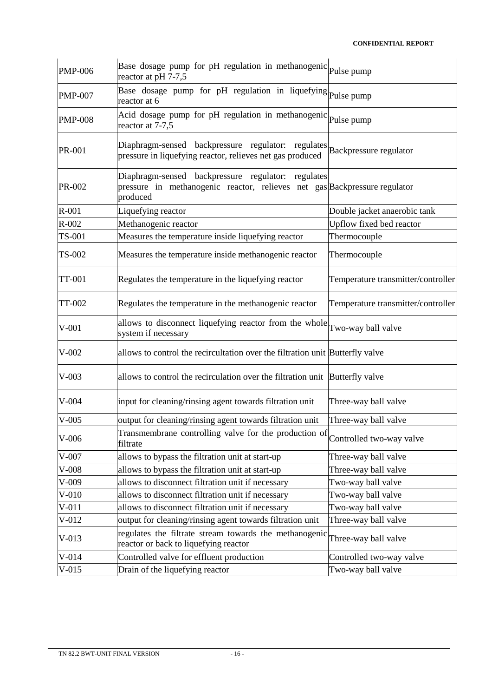| <b>PMP-006</b> | Base dosage pump for pH regulation in methanogenic Pulse pump<br>reactor at pH 7-7,5                                                           |                                    |  |  |  |
|----------------|------------------------------------------------------------------------------------------------------------------------------------------------|------------------------------------|--|--|--|
| <b>PMP-007</b> | Base dosage pump for pH regulation in liquefying Pulse pump<br>reactor at 6                                                                    |                                    |  |  |  |
| <b>PMP-008</b> | Acid dosage pump for pH regulation in methanogenic Pulse pump<br>reactor at 7-7,5                                                              |                                    |  |  |  |
| PR-001         | Diaphragm-sensed backpressure regulator: regulates Backpressure regulator<br>pressure in liquefying reactor, relieves net gas produced         |                                    |  |  |  |
| PR-002         | Diaphragm-sensed backpressure regulator:<br>regulates<br>pressure in methanogenic reactor, relieves net gas Backpressure regulator<br>produced |                                    |  |  |  |
| $R-001$        | Liquefying reactor                                                                                                                             | Double jacket anaerobic tank       |  |  |  |
| $R-002$        | Methanogenic reactor                                                                                                                           | Upflow fixed bed reactor           |  |  |  |
| TS-001         | Measures the temperature inside liquefying reactor                                                                                             | Thermocouple                       |  |  |  |
| TS-002         | Measures the temperature inside methanogenic reactor                                                                                           | Thermocouple                       |  |  |  |
| <b>TT-001</b>  | Regulates the temperature in the liquefying reactor                                                                                            | Temperature transmitter/controller |  |  |  |
| TT-002         | Regulates the temperature in the methanogenic reactor                                                                                          | Temperature transmitter/controller |  |  |  |
| $V-001$        | allows to disconnect liquefying reactor from the whole Two-way ball valve<br>system if necessary                                               |                                    |  |  |  |
| $V-002$        | allows to control the recircultation over the filtration unit Butterfly valve                                                                  |                                    |  |  |  |
| $V-003$        | allows to control the recirculation over the filtration unit Butterfly valve                                                                   |                                    |  |  |  |
| $V-004$        | input for cleaning/rinsing agent towards filtration unit                                                                                       | Three-way ball valve               |  |  |  |
| $V-005$        | output for cleaning/rinsing agent towards filtration unit                                                                                      | Three-way ball valve               |  |  |  |
| $V-006$        | Transmembrane controlling valve for the production of Controlled two-way valve<br>filtrate                                                     |                                    |  |  |  |
| $V-007$        | allows to bypass the filtration unit at start-up                                                                                               | Three-way ball valve               |  |  |  |
| $V-008$        | allows to bypass the filtration unit at start-up                                                                                               | Three-way ball valve               |  |  |  |
| $V-009$        | allows to disconnect filtration unit if necessary                                                                                              | Two-way ball valve                 |  |  |  |
| $V-010$        | allows to disconnect filtration unit if necessary                                                                                              | Two-way ball valve                 |  |  |  |
| $V-011$        | allows to disconnect filtration unit if necessary                                                                                              | Two-way ball valve                 |  |  |  |
| $V-012$        | output for cleaning/rinsing agent towards filtration unit                                                                                      | Three-way ball valve               |  |  |  |
| $V-013$        | regulates the filtrate stream towards the methanogenic<br>reactor or back to liquefying reactor                                                | Three-way ball valve               |  |  |  |
| $V-014$        | Controlled valve for effluent production                                                                                                       | Controlled two-way valve           |  |  |  |
| $V-015$        | Drain of the liquefying reactor                                                                                                                | Two-way ball valve                 |  |  |  |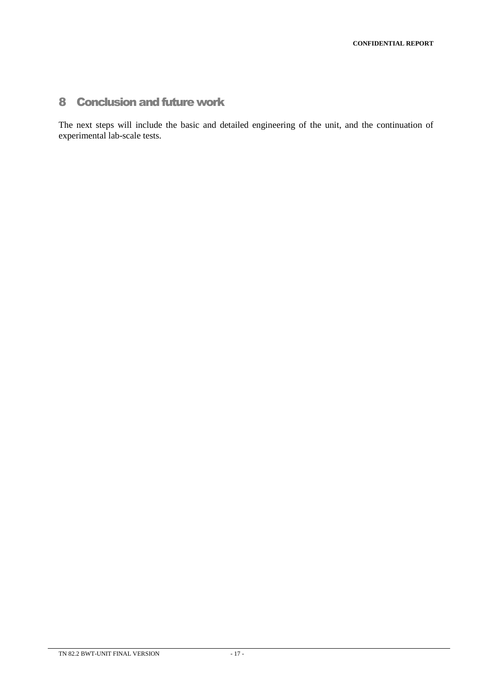# 8 Conclusion and future work

The next steps will include the basic and detailed engineering of the unit, and the continuation of experimental lab-scale tests.